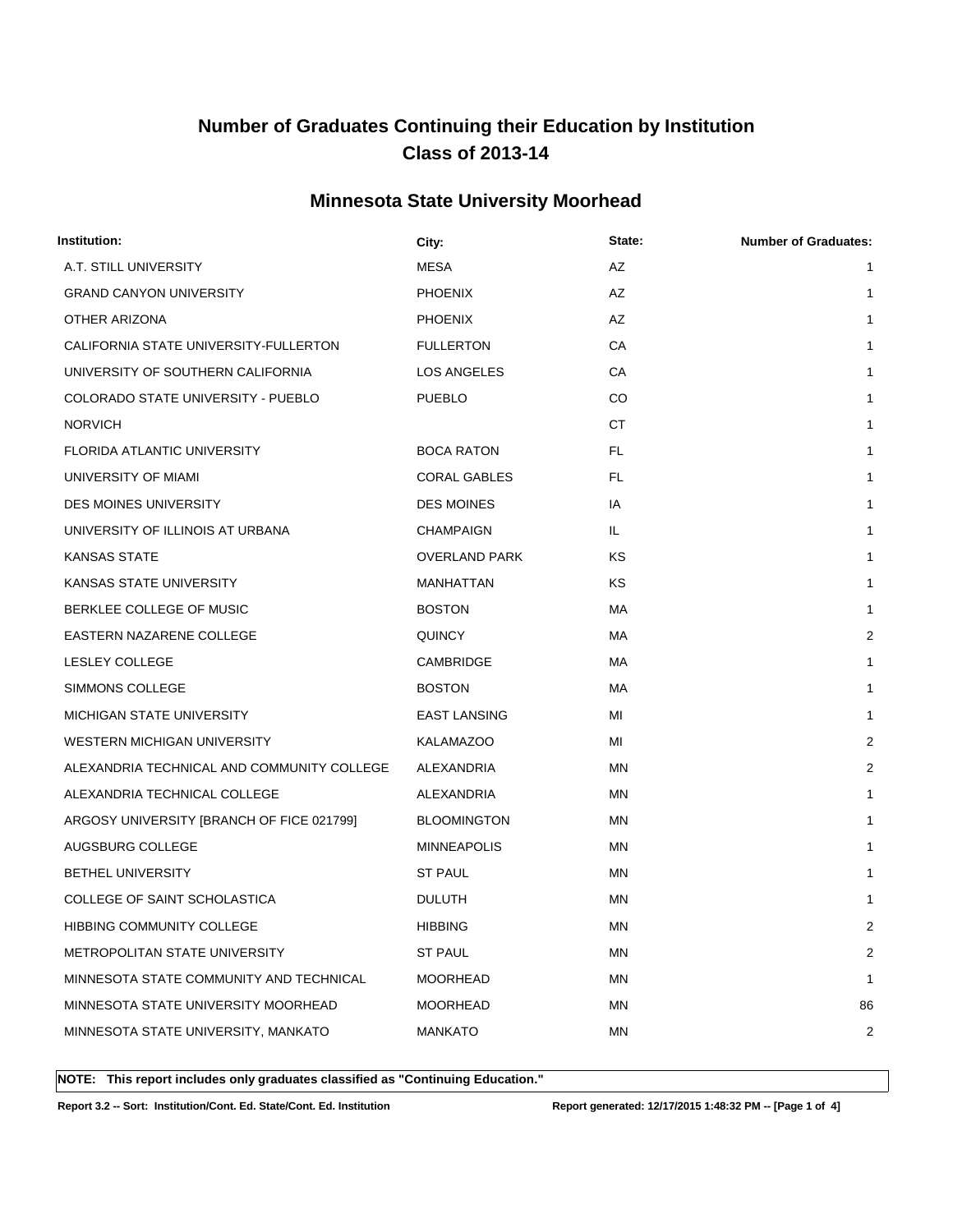### **Minnesota State University Moorhead**

| Institution:                               | City:                | State:    | <b>Number of Graduates:</b> |
|--------------------------------------------|----------------------|-----------|-----------------------------|
| A.T. STILL UNIVERSITY                      | <b>MESA</b>          | AZ        | 1                           |
| <b>GRAND CANYON UNIVERSITY</b>             | <b>PHOENIX</b>       | AZ        | 1                           |
| OTHER ARIZONA                              | <b>PHOENIX</b>       | AZ        | $\mathbf{1}$                |
| CALIFORNIA STATE UNIVERSITY-FULLERTON      | <b>FULLERTON</b>     | CA        | 1                           |
| UNIVERSITY OF SOUTHERN CALIFORNIA          | LOS ANGELES          | СA        | $\mathbf{1}$                |
| COLORADO STATE UNIVERSITY - PUEBLO         | <b>PUEBLO</b>        | CO        | $\mathbf{1}$                |
| <b>NORVICH</b>                             |                      | СT        | 1                           |
| <b>FLORIDA ATLANTIC UNIVERSITY</b>         | <b>BOCA RATON</b>    | FL.       | $\mathbf{1}$                |
| UNIVERSITY OF MIAMI                        | <b>CORAL GABLES</b>  | FL.       | 1                           |
| <b>DES MOINES UNIVERSITY</b>               | <b>DES MOINES</b>    | IA        | $\mathbf{1}$                |
| UNIVERSITY OF ILLINOIS AT URBANA           | <b>CHAMPAIGN</b>     | IL.       | 1                           |
| <b>KANSAS STATE</b>                        | <b>OVERLAND PARK</b> | ΚS        | $\mathbf{1}$                |
| KANSAS STATE UNIVERSITY                    | MANHATTAN            | <b>KS</b> | $\mathbf{1}$                |
| BERKLEE COLLEGE OF MUSIC                   | <b>BOSTON</b>        | МA        | 1                           |
| EASTERN NAZARENE COLLEGE                   | <b>QUINCY</b>        | МA        | 2                           |
| <b>LESLEY COLLEGE</b>                      | CAMBRIDGE            | МA        | 1                           |
| SIMMONS COLLEGE                            | <b>BOSTON</b>        | МA        | 1                           |
| MICHIGAN STATE UNIVERSITY                  | <b>EAST LANSING</b>  | MI        | 1                           |
| WESTERN MICHIGAN UNIVERSITY                | KALAMAZOO            | MI        | 2                           |
| ALEXANDRIA TECHNICAL AND COMMUNITY COLLEGE | ALEXANDRIA           | ΜN        | 2                           |
| ALEXANDRIA TECHNICAL COLLEGE               | ALEXANDRIA           | ΜN        | 1                           |
| ARGOSY UNIVERSITY [BRANCH OF FICE 021799]  | <b>BLOOMINGTON</b>   | ΜN        | $\mathbf{1}$                |
| AUGSBURG COLLEGE                           | <b>MINNEAPOLIS</b>   | ΜN        | 1                           |
| <b>BETHEL UNIVERSITY</b>                   | <b>ST PAUL</b>       | ΜN        | 1                           |
| COLLEGE OF SAINT SCHOLASTICA               | <b>DULUTH</b>        | MN        | $\mathbf{1}$                |
| HIBBING COMMUNITY COLLEGE                  | <b>HIBBING</b>       | <b>MN</b> | 2                           |
| METROPOLITAN STATE UNIVERSITY              | <b>ST PAUL</b>       | ΜN        | 2                           |
| MINNESOTA STATE COMMUNITY AND TECHNICAL    | <b>MOORHEAD</b>      | ΜN        | 1                           |
| MINNESOTA STATE UNIVERSITY MOORHEAD        | <b>MOORHEAD</b>      | MN        | 86                          |
| MINNESOTA STATE UNIVERSITY, MANKATO        | <b>MANKATO</b>       | MN        | 2                           |
|                                            |                      |           |                             |

**NOTE: This report includes only graduates classified as "Continuing Education."** 

**Report 3.2 -- Sort: Institution/Cont. Ed. State/Cont. Ed. Institution Report generated: 12/17/2015 1:48:32 PM -- [Page 1 of 4]**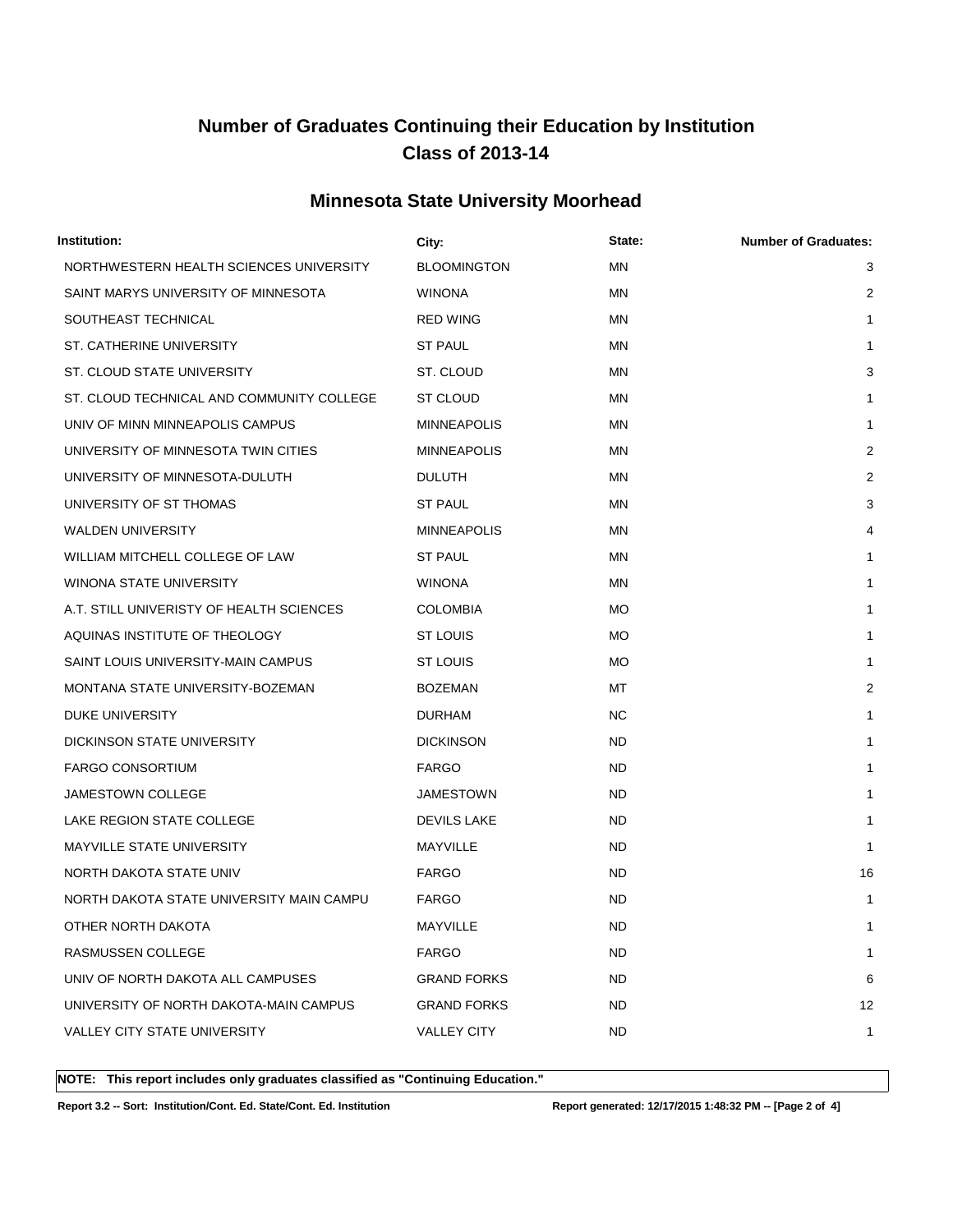### **Minnesota State University Moorhead**

| Institution:                              | City:              | State:    | <b>Number of Graduates:</b> |
|-------------------------------------------|--------------------|-----------|-----------------------------|
| NORTHWESTERN HEALTH SCIENCES UNIVERSITY   | <b>BLOOMINGTON</b> | <b>MN</b> | 3                           |
| SAINT MARYS UNIVERSITY OF MINNESOTA       | <b>WINONA</b>      | MN        | 2                           |
| SOUTHEAST TECHNICAL                       | <b>RED WING</b>    | <b>MN</b> | $\mathbf{1}$                |
| ST. CATHERINE UNIVERSITY                  | <b>ST PAUL</b>     | MN        | 1                           |
| ST. CLOUD STATE UNIVERSITY                | ST. CLOUD          | ΜN        | 3                           |
| ST. CLOUD TECHNICAL AND COMMUNITY COLLEGE | <b>ST CLOUD</b>    | ΜN        | 1                           |
| UNIV OF MINN MINNEAPOLIS CAMPUS           | <b>MINNEAPOLIS</b> | MN        | 1                           |
| UNIVERSITY OF MINNESOTA TWIN CITIES       | <b>MINNEAPOLIS</b> | ΜN        | $\overline{2}$              |
| UNIVERSITY OF MINNESOTA-DULUTH            | <b>DULUTH</b>      | <b>MN</b> | 2                           |
| UNIVERSITY OF ST THOMAS                   | <b>ST PAUL</b>     | ΜN        | 3                           |
| WALDEN UNIVERSITY                         | <b>MINNEAPOLIS</b> | ΜN        | 4                           |
| WILLIAM MITCHELL COLLEGE OF LAW           | <b>ST PAUL</b>     | ΜN        | 1                           |
| WINONA STATE UNIVERSITY                   | <b>WINONA</b>      | ΜN        | 1                           |
| A.T. STILL UNIVERISTY OF HEALTH SCIENCES  | <b>COLOMBIA</b>    | МO        | 1                           |
| AQUINAS INSTITUTE OF THEOLOGY             | ST LOUIS           | МO        | 1                           |
| SAINT LOUIS UNIVERSITY-MAIN CAMPUS        | ST LOUIS           | МO        | 1                           |
| MONTANA STATE UNIVERSITY-BOZEMAN          | <b>BOZEMAN</b>     | МT        | 2                           |
| <b>DUKE UNIVERSITY</b>                    | <b>DURHAM</b>      | NC.       | 1                           |
| DICKINSON STATE UNIVERSITY                | <b>DICKINSON</b>   | ND.       | 1                           |
| <b>FARGO CONSORTIUM</b>                   | <b>FARGO</b>       | <b>ND</b> | 1                           |
| <b>JAMESTOWN COLLEGE</b>                  | JAMESTOWN          | ND.       | 1                           |
| LAKE REGION STATE COLLEGE                 | <b>DEVILS LAKE</b> | ND.       | 1                           |
| MAYVILLE STATE UNIVERSITY                 | MAYVILLE           | ND.       | 1                           |
| NORTH DAKOTA STATE UNIV                   | <b>FARGO</b>       | ND.       | 16                          |
| NORTH DAKOTA STATE UNIVERSITY MAIN CAMPU  | <b>FARGO</b>       | ND.       | 1                           |
| OTHER NORTH DAKOTA                        | MAYVILLE           | <b>ND</b> |                             |
| RASMUSSEN COLLEGE                         | <b>FARGO</b>       | ND.       | 1                           |
| UNIV OF NORTH DAKOTA ALL CAMPUSES         | <b>GRAND FORKS</b> | ND.       | 6                           |
| UNIVERSITY OF NORTH DAKOTA-MAIN CAMPUS    | <b>GRAND FORKS</b> | ND.       | 12                          |
| VALLEY CITY STATE UNIVERSITY              | <b>VALLEY CITY</b> | <b>ND</b> | 1                           |
|                                           |                    |           |                             |

**NOTE: This report includes only graduates classified as "Continuing Education."** 

**Report 3.2 -- Sort: Institution/Cont. Ed. State/Cont. Ed. Institution Report generated: 12/17/2015 1:48:32 PM -- [Page 2 of 4]**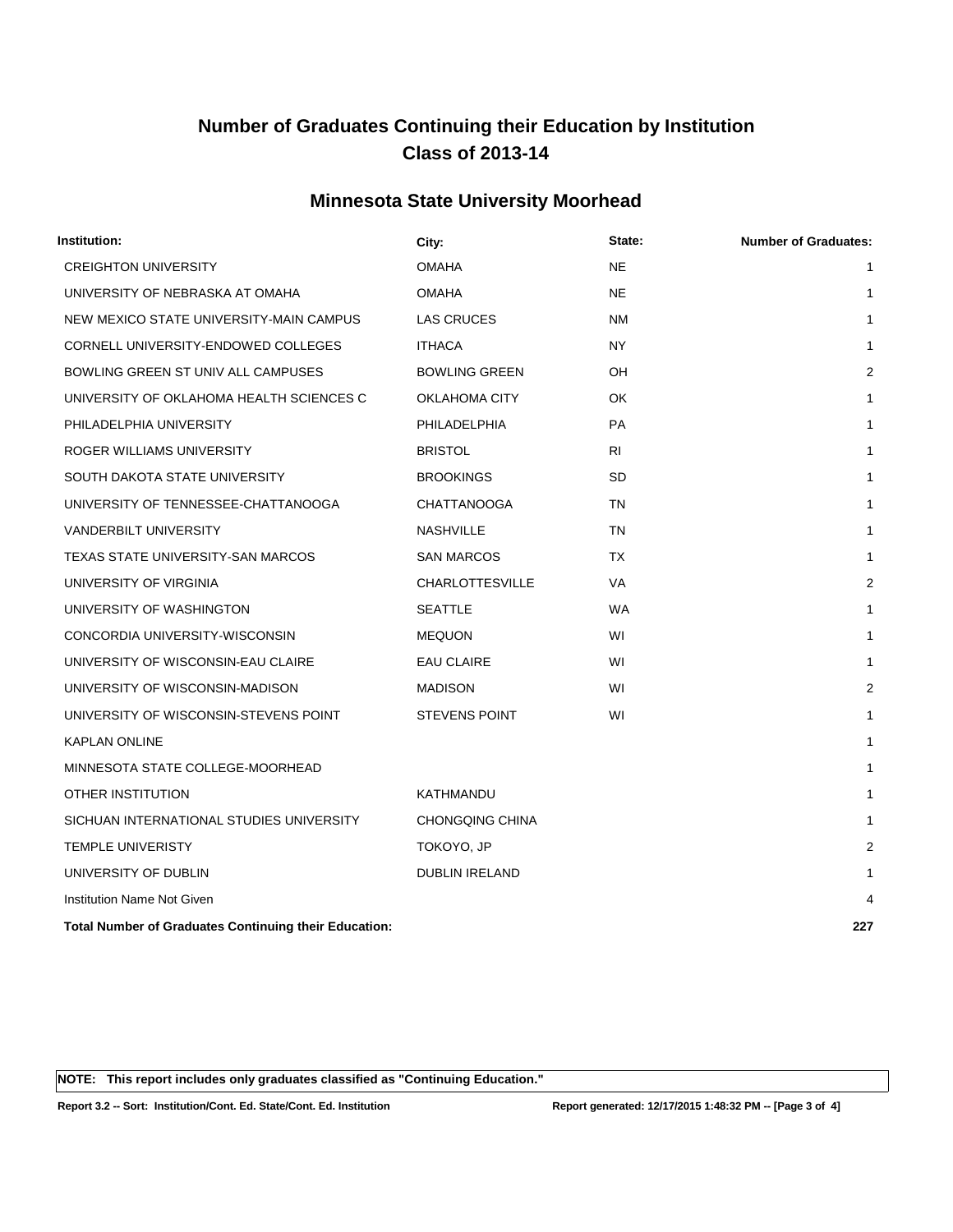### **Minnesota State University Moorhead**

| Institution:                                                 | City:                  | State:    | <b>Number of Graduates:</b> |
|--------------------------------------------------------------|------------------------|-----------|-----------------------------|
| <b>CREIGHTON UNIVERSITY</b>                                  | <b>OMAHA</b>           | <b>NE</b> | $\mathbf{1}$                |
| UNIVERSITY OF NEBRASKA AT OMAHA                              | <b>OMAHA</b>           | <b>NE</b> | $\mathbf{1}$                |
| NEW MEXICO STATE UNIVERSITY-MAIN CAMPUS                      | <b>LAS CRUCES</b>      | <b>NM</b> | 1                           |
| CORNELL UNIVERSITY-ENDOWED COLLEGES                          | <b>ITHACA</b>          | <b>NY</b> | 1                           |
| BOWLING GREEN ST UNIV ALL CAMPUSES                           | <b>BOWLING GREEN</b>   | <b>OH</b> | $\overline{2}$              |
| UNIVERSITY OF OKLAHOMA HEALTH SCIENCES C                     | OKLAHOMA CITY          | <b>OK</b> | $\mathbf{1}$                |
| PHILADELPHIA UNIVERSITY                                      | PHILADELPHIA           | <b>PA</b> | $\mathbf{1}$                |
| ROGER WILLIAMS UNIVERSITY                                    | <b>BRISTOL</b>         | RI.       | $\mathbf{1}$                |
| SOUTH DAKOTA STATE UNIVERSITY                                | <b>BROOKINGS</b>       | SD        | 1                           |
| UNIVERSITY OF TENNESSEE-CHATTANOOGA                          | <b>CHATTANOOGA</b>     | <b>TN</b> | $\mathbf{1}$                |
| <b>VANDERBILT UNIVERSITY</b>                                 | <b>NASHVILLE</b>       | TN        | 1                           |
| TEXAS STATE UNIVERSITY-SAN MARCOS                            | <b>SAN MARCOS</b>      | TX        | 1                           |
| UNIVERSITY OF VIRGINIA                                       | <b>CHARLOTTESVILLE</b> | <b>VA</b> | $\overline{2}$              |
| UNIVERSITY OF WASHINGTON                                     | <b>SEATTLE</b>         | <b>WA</b> | $\mathbf{1}$                |
| CONCORDIA UNIVERSITY-WISCONSIN                               | <b>MEQUON</b>          | WI        | $\mathbf{1}$                |
| UNIVERSITY OF WISCONSIN-EAU CLAIRE                           | EAU CLAIRE             | WI        | 1                           |
| UNIVERSITY OF WISCONSIN-MADISON                              | <b>MADISON</b>         | WI        | $\overline{2}$              |
| UNIVERSITY OF WISCONSIN-STEVENS POINT                        | <b>STEVENS POINT</b>   | WI        | 1                           |
| <b>KAPLAN ONLINE</b>                                         |                        |           | $\mathbf{1}$                |
| MINNESOTA STATE COLLEGE-MOORHEAD                             |                        |           | $\mathbf{1}$                |
| <b>OTHER INSTITUTION</b>                                     | <b>KATHMANDU</b>       |           | 1                           |
| SICHUAN INTERNATIONAL STUDIES UNIVERSITY                     | <b>CHONGQING CHINA</b> |           | 1                           |
| <b>TEMPLE UNIVERISTY</b>                                     | TOKOYO, JP             |           | $\overline{2}$              |
| UNIVERSITY OF DUBLIN                                         | <b>DUBLIN IRELAND</b>  |           | $\mathbf{1}$                |
| <b>Institution Name Not Given</b>                            |                        |           | 4                           |
| <b>Total Number of Graduates Continuing their Education:</b> |                        |           | 227                         |

**NOTE: This report includes only graduates classified as "Continuing Education."** 

**Report 3.2 -- Sort: Institution/Cont. Ed. State/Cont. Ed. Institution Report generated: 12/17/2015 1:48:32 PM -- [Page 3 of 4]**